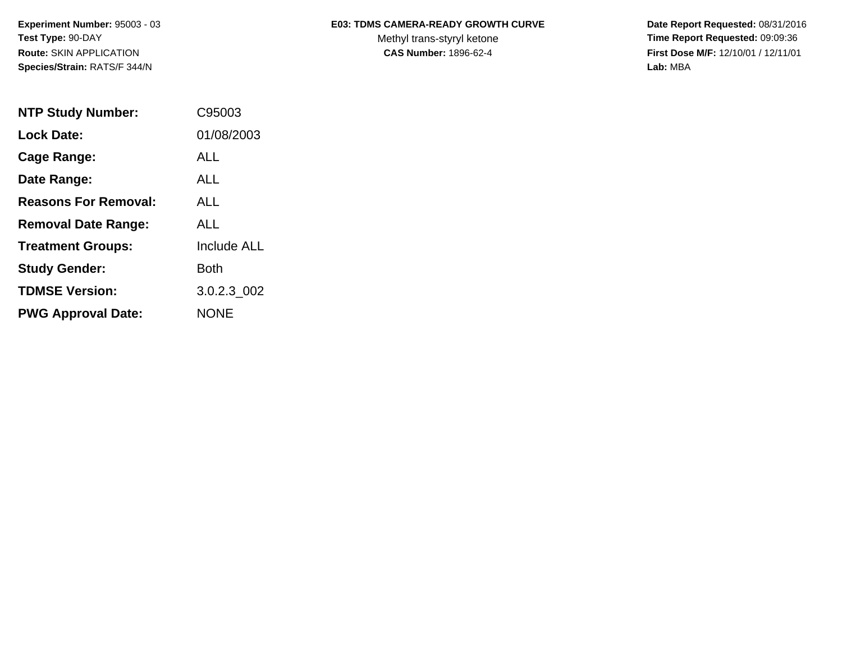**Species/Strain:** RATS/F 344/N **Lab:** MBA

## Experiment Number: 95003 - 03 **ED3: TDMS CAMERA-READY GROWTH CURVE** Date Report Requested: 08/31/2016

Test Type: 90-DAY **The Report Requested: 09:09:36** Methyl trans-styryl ketone **Time Report Requested: 09:09:36 Route:** SKIN APPLICATION **CAS Number:** 1896-62-4 **First Dose M/F:** 12/10/01 / 12/11/01

| <b>NTP Study Number:</b>    | C95003             |
|-----------------------------|--------------------|
| <b>Lock Date:</b>           | 01/08/2003         |
| Cage Range:                 | ALL                |
| Date Range:                 | AI I               |
| <b>Reasons For Removal:</b> | <b>ALL</b>         |
| <b>Removal Date Range:</b>  | <b>ALL</b>         |
| <b>Treatment Groups:</b>    | <b>Include ALL</b> |
| <b>Study Gender:</b>        | Both               |
| <b>TDMSE Version:</b>       | 3.0.2.3_002        |
| <b>PWG Approval Date:</b>   | <b>NONE</b>        |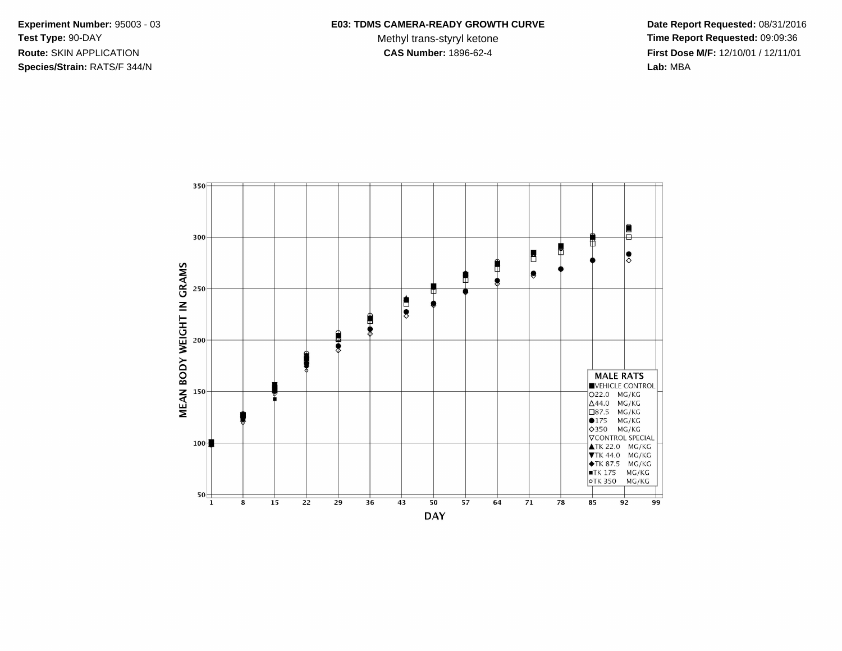**Species/Strain:** RATS/F 344/N **Lab:** MBA

## Experiment Number: 95003 - 03 **ED3: TDMS CAMERA-READY GROWTH CURVE** Date Report Requested: 08/31/2016

Test Type: 90-DAY **The Report Requested: 09:09:36** Methyl trans-styryl ketone **Time Report Requested: 09:09:36 Route:** SKIN APPLICATION **CAS Number:** 1896-62-4 **First Dose M/F:** 12/10/01 / 12/11/01